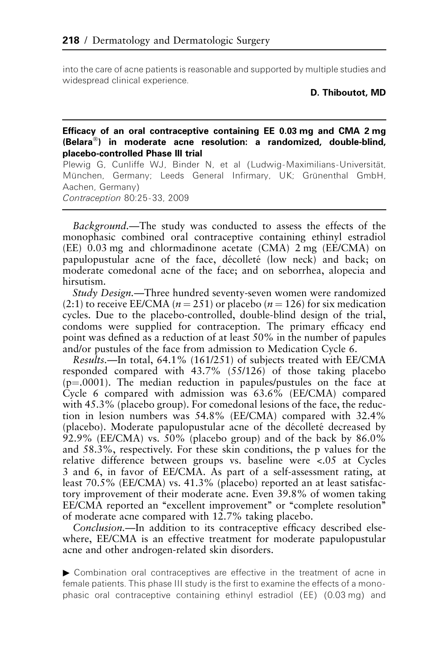into the care of acne patients is reasonable and supported by multiple studies and widespread clinical experience.

D. Thiboutot, MD

## Efficacy of an oral contraceptive containing EE 0.03 mg and CMA 2 mg (Belara-) in moderate acne resolution: a randomized, double-blind, placebo-controlled Phase III trial

Plewig G, Cunliffe WJ, Binder N, et al (Ludwig-Maximilians-Universität, München, Germany; Leeds General Infirmary, UK; Grünenthal GmbH, Aachen, Germany)

Contraception 80:25-33, 2009

Background.—The study was conducted to assess the effects of the monophasic combined oral contraceptive containing ethinyl estradiol (EE) 0.03 mg and chlormadinone acetate (CMA) 2 mg (EE/CMA) on papulopustular acne of the face, décolleté (low neck) and back; on moderate comedonal acne of the face; and on seborrhea, alopecia and hirsutism.

Study Design.—Three hundred seventy-seven women were randomized (2:1) to receive EE/CMA ( $n = 251$ ) or placebo ( $n = 126$ ) for six medication cycles. Due to the placebo-controlled, double-blind design of the trial, condoms were supplied for contraception. The primary efficacy end point was defined as a reduction of at least 50% in the number of papules and/or pustules of the face from admission to Medication Cycle 6.

Results.—In total, 64.1% (161/251) of subjects treated with EE/CMA responded compared with 43.7% (55/126) of those taking placebo  $(p=0001)$ . The median reduction in papules/pustules on the face at Cycle 6 compared with admission was 63.6% (EE/CMA) compared with 45.3% (placebo group). For comedonal lesions of the face, the reduction in lesion numbers was 54.8% (EE/CMA) compared with 32.4% (placebo). Moderate papulopustular acne of the décolleté decreased by  $92.9\%$  (EE/CMA) vs. 50% (placebo group) and of the back by 86.0% and 58.3%, respectively. For these skin conditions, the p values for the relative difference between groups vs. baseline were <.05 at Cycles 3 and 6, in favor of EE/CMA. As part of a self-assessment rating, at least 70.5% (EE/CMA) vs. 41.3% (placebo) reported an at least satisfactory improvement of their moderate acne. Even 39.8% of women taking EE/CMA reported an "excellent improvement" or "complete resolution" of moderate acne compared with 12.7% taking placebo.

Conclusion.—In addition to its contraceptive efficacy described elsewhere, EE/CMA is an effective treatment for moderate papulopustular acne and other androgen-related skin disorders.

: Combination oral contraceptives are effective in the treatment of acne in female patients. This phase III study is the first to examine the effects of a monophasic oral contraceptive containing ethinyl estradiol (EE) (0.03 mg) and